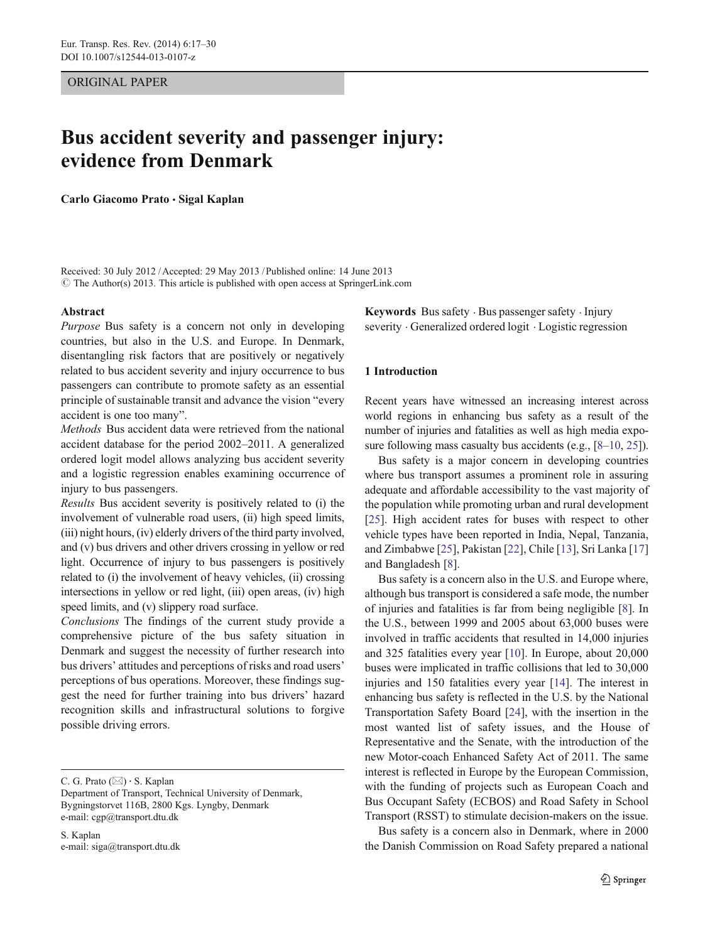#### ORIGINAL PAPER

# Bus accident severity and passenger injury: evidence from Denmark

Carlo Giacomo Prato · Sigal Kaplan

Received: 30 July 2012 /Accepted: 29 May 2013 / Published online: 14 June 2013  $\odot$  The Author(s) 2013. This article is published with open access at SpringerLink.com

# Abstract

Purpose Bus safety is a concern not only in developing countries, but also in the U.S. and Europe. In Denmark, disentangling risk factors that are positively or negatively related to bus accident severity and injury occurrence to bus passengers can contribute to promote safety as an essential principle of sustainable transit and advance the vision "every accident is one too many".

Methods Bus accident data were retrieved from the national accident database for the period 2002–2011. A generalized ordered logit model allows analyzing bus accident severity and a logistic regression enables examining occurrence of injury to bus passengers.

Results Bus accident severity is positively related to (i) the involvement of vulnerable road users, (ii) high speed limits, (iii) night hours, (iv) elderly drivers of the third party involved, and (v) bus drivers and other drivers crossing in yellow or red light. Occurrence of injury to bus passengers is positively related to (i) the involvement of heavy vehicles, (ii) crossing intersections in yellow or red light, (iii) open areas, (iv) high speed limits, and (v) slippery road surface.

Conclusions The findings of the current study provide a comprehensive picture of the bus safety situation in Denmark and suggest the necessity of further research into bus drivers' attitudes and perceptions of risks and road users' perceptions of bus operations. Moreover, these findings suggest the need for further training into bus drivers' hazard recognition skills and infrastructural solutions to forgive possible driving errors.

S. Kaplan e-mail: siga@transport.dtu.dk Keywords Bus safety . Bus passenger safety . Injury severity . Generalized ordered logit . Logistic regression

## 1 Introduction

Recent years have witnessed an increasing interest across world regions in enhancing bus safety as a result of the number of injuries and fatalities as well as high media expo-sure following mass casualty bus accidents (e.g., [\[8](#page-12-0)–[10,](#page-12-0) [25\]](#page-12-0)).

Bus safety is a major concern in developing countries where bus transport assumes a prominent role in assuring adequate and affordable accessibility to the vast majority of the population while promoting urban and rural development [\[25](#page-12-0)]. High accident rates for buses with respect to other vehicle types have been reported in India, Nepal, Tanzania, and Zimbabwe [[25\]](#page-12-0), Pakistan [\[22](#page-12-0)], Chile [\[13](#page-12-0)], Sri Lanka [\[17](#page-12-0)] and Bangladesh [\[8](#page-12-0)].

Bus safety is a concern also in the U.S. and Europe where, although bus transport is considered a safe mode, the number of injuries and fatalities is far from being negligible [\[8](#page-12-0)]. In the U.S., between 1999 and 2005 about 63,000 buses were involved in traffic accidents that resulted in 14,000 injuries and 325 fatalities every year [\[10](#page-12-0)]. In Europe, about 20,000 buses were implicated in traffic collisions that led to 30,000 injuries and 150 fatalities every year [[14\]](#page-12-0). The interest in enhancing bus safety is reflected in the U.S. by the National Transportation Safety Board [\[24](#page-12-0)], with the insertion in the most wanted list of safety issues, and the House of Representative and the Senate, with the introduction of the new Motor-coach Enhanced Safety Act of 2011. The same interest is reflected in Europe by the European Commission, with the funding of projects such as European Coach and Bus Occupant Safety (ECBOS) and Road Safety in School Transport (RSST) to stimulate decision-makers on the issue.

Bus safety is a concern also in Denmark, where in 2000 the Danish Commission on Road Safety prepared a national

C. G. Prato  $(\boxtimes) \cdot$  S. Kaplan

Department of Transport, Technical University of Denmark, Bygningstorvet 116B, 2800 Kgs. Lyngby, Denmark e-mail: cgp@transport.dtu.dk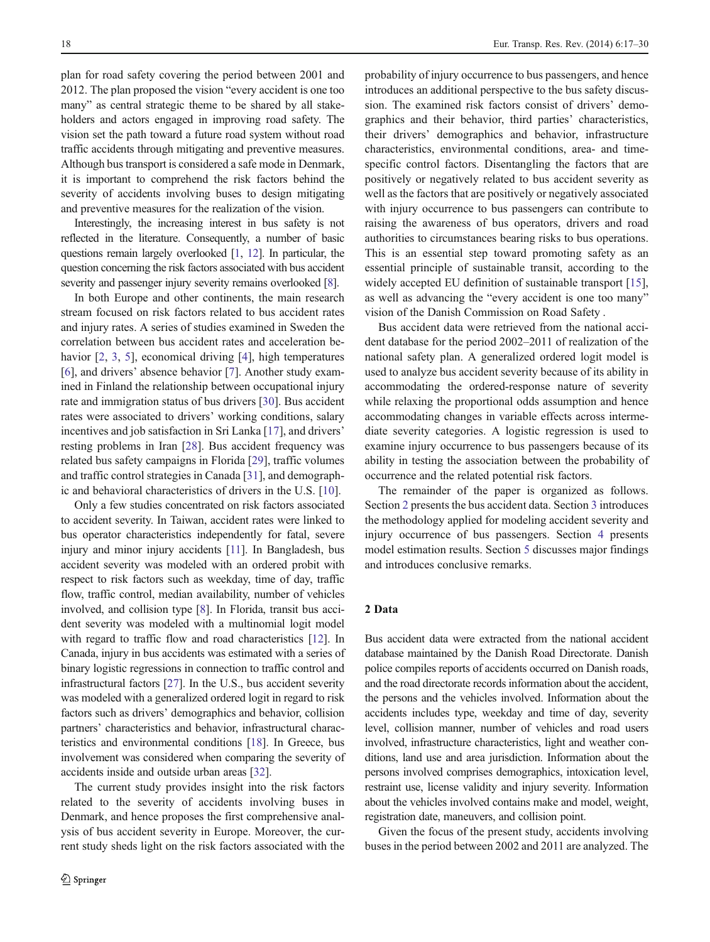plan for road safety covering the period between 2001 and 2012. The plan proposed the vision "every accident is one too many" as central strategic theme to be shared by all stakeholders and actors engaged in improving road safety. The vision set the path toward a future road system without road traffic accidents through mitigating and preventive measures. Although bus transport is considered a safe mode in Denmark, it is important to comprehend the risk factors behind the severity of accidents involving buses to design mitigating and preventive measures for the realization of the vision.

Interestingly, the increasing interest in bus safety is not reflected in the literature. Consequently, a number of basic questions remain largely overlooked [\[1,](#page-12-0) [12\]](#page-12-0). In particular, the question concerning the risk factors associated with bus accident severity and passenger injury severity remains overlooked [[8](#page-12-0)].

In both Europe and other continents, the main research stream focused on risk factors related to bus accident rates and injury rates. A series of studies examined in Sweden the correlation between bus accident rates and acceleration be-havior [[2,](#page-12-0) [3,](#page-12-0) [5\]](#page-12-0), economical driving [\[4](#page-12-0)], high temperatures [\[6](#page-12-0)], and drivers' absence behavior [[7](#page-12-0)]. Another study examined in Finland the relationship between occupational injury rate and immigration status of bus drivers [\[30](#page-12-0)]. Bus accident rates were associated to drivers' working conditions, salary incentives and job satisfaction in Sri Lanka [\[17](#page-12-0)], and drivers' resting problems in Iran [[28\]](#page-12-0). Bus accident frequency was related bus safety campaigns in Florida [\[29](#page-12-0)], traffic volumes and traffic control strategies in Canada [\[31](#page-13-0)], and demographic and behavioral characteristics of drivers in the U.S. [[10\]](#page-12-0).

Only a few studies concentrated on risk factors associated to accident severity. In Taiwan, accident rates were linked to bus operator characteristics independently for fatal, severe injury and minor injury accidents [\[11](#page-12-0)]. In Bangladesh, bus accident severity was modeled with an ordered probit with respect to risk factors such as weekday, time of day, traffic flow, traffic control, median availability, number of vehicles involved, and collision type [[8\]](#page-12-0). In Florida, transit bus accident severity was modeled with a multinomial logit model with regard to traffic flow and road characteristics [[12\]](#page-12-0). In Canada, injury in bus accidents was estimated with a series of binary logistic regressions in connection to traffic control and infrastructural factors [\[27](#page-12-0)]. In the U.S., bus accident severity was modeled with a generalized ordered logit in regard to risk factors such as drivers' demographics and behavior, collision partners' characteristics and behavior, infrastructural characteristics and environmental conditions [\[18](#page-12-0)]. In Greece, bus involvement was considered when comparing the severity of accidents inside and outside urban areas [[32\]](#page-13-0).

The current study provides insight into the risk factors related to the severity of accidents involving buses in Denmark, and hence proposes the first comprehensive analysis of bus accident severity in Europe. Moreover, the current study sheds light on the risk factors associated with the

probability of injury occurrence to bus passengers, and hence introduces an additional perspective to the bus safety discussion. The examined risk factors consist of drivers' demographics and their behavior, third parties' characteristics, their drivers' demographics and behavior, infrastructure characteristics, environmental conditions, area- and timespecific control factors. Disentangling the factors that are positively or negatively related to bus accident severity as well as the factors that are positively or negatively associated with injury occurrence to bus passengers can contribute to raising the awareness of bus operators, drivers and road authorities to circumstances bearing risks to bus operations. This is an essential step toward promoting safety as an essential principle of sustainable transit, according to the widely accepted EU definition of sustainable transport [[15\]](#page-12-0), as well as advancing the "every accident is one too many" vision of the Danish Commission on Road Safety .

Bus accident data were retrieved from the national accident database for the period 2002–2011 of realization of the national safety plan. A generalized ordered logit model is used to analyze bus accident severity because of its ability in accommodating the ordered-response nature of severity while relaxing the proportional odds assumption and hence accommodating changes in variable effects across intermediate severity categories. A logistic regression is used to examine injury occurrence to bus passengers because of its ability in testing the association between the probability of occurrence and the related potential risk factors.

The remainder of the paper is organized as follows. Section 2 presents the bus accident data. Section [3](#page-3-0) introduces the methodology applied for modeling accident severity and injury occurrence of bus passengers. Section [4](#page-5-0) presents model estimation results. Section [5](#page-11-0) discusses major findings and introduces conclusive remarks.

## 2 Data

Bus accident data were extracted from the national accident database maintained by the Danish Road Directorate. Danish police compiles reports of accidents occurred on Danish roads, and the road directorate records information about the accident, the persons and the vehicles involved. Information about the accidents includes type, weekday and time of day, severity level, collision manner, number of vehicles and road users involved, infrastructure characteristics, light and weather conditions, land use and area jurisdiction. Information about the persons involved comprises demographics, intoxication level, restraint use, license validity and injury severity. Information about the vehicles involved contains make and model, weight, registration date, maneuvers, and collision point.

Given the focus of the present study, accidents involving buses in the period between 2002 and 2011 are analyzed. The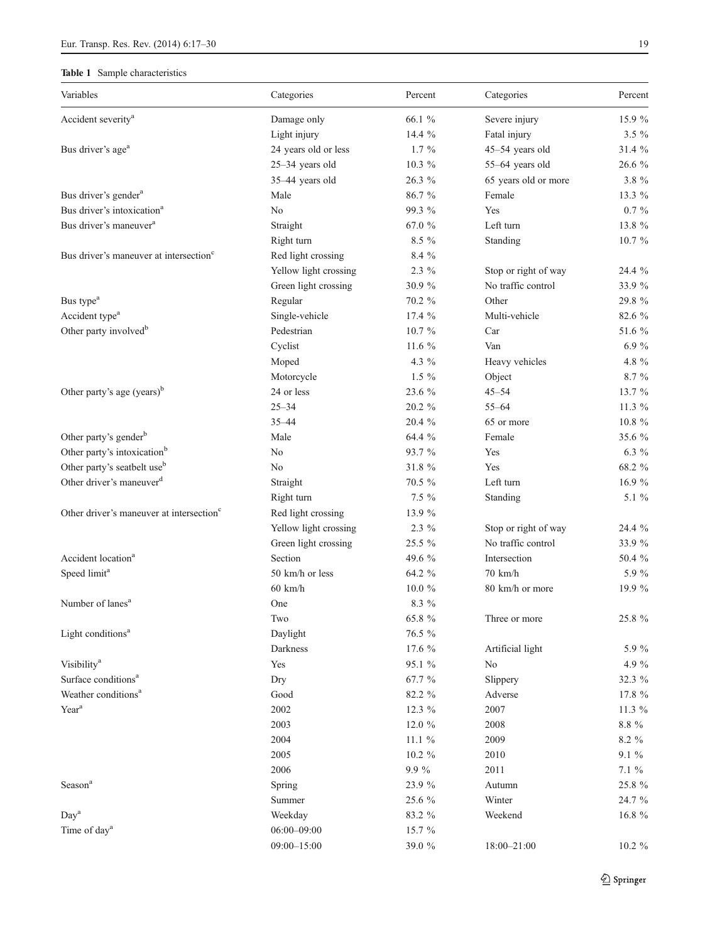# <span id="page-2-0"></span>Table 1 Sample characteristics

| Variables                                            | Categories            | Percent   | Categories           | Percent   |
|------------------------------------------------------|-----------------------|-----------|----------------------|-----------|
| Accident severity <sup>a</sup>                       | Damage only           | 66.1 %    | Severe injury        | 15.9 %    |
|                                                      | Light injury          | 14.4 $%$  | Fatal injury         | $3.5 \%$  |
| Bus driver's age <sup>a</sup>                        | 24 years old or less  | $1.7\%$   | 45-54 years old      | 31.4 %    |
|                                                      | 25-34 years old       | $10.3\%$  | 55-64 years old      | 26.6 %    |
|                                                      | 35-44 years old       | 26.3 %    | 65 years old or more | $3.8 \%$  |
| Bus driver's gender <sup>a</sup>                     | Male                  | 86.7 %    | Female               | 13.3 %    |
| Bus driver's intoxication <sup>a</sup>               | N <sub>0</sub>        | 99.3 %    | Yes                  | $0.7 \%$  |
| Bus driver's maneuver <sup>a</sup>                   | Straight              | 67.0 %    | Left turn            | 13.8 %    |
|                                                      | Right turn            | $8.5\%$   | Standing             | 10.7 %    |
| Bus driver's maneuver at intersection <sup>c</sup>   | Red light crossing    | 8.4 %     |                      |           |
|                                                      | Yellow light crossing | 2.3 %     | Stop or right of way | 24.4 %    |
|                                                      | Green light crossing  | 30.9%     | No traffic control   | 33.9%     |
| Bus type <sup>a</sup>                                | Regular               | 70.2 %    | Other                | 29.8 %    |
| Accident type <sup>a</sup>                           | Single-vehicle        | 17.4 %    | Multi-vehicle        | 82.6 %    |
| Other party involved <sup>b</sup>                    | Pedestrian            | 10.7%     | Car                  | 51.6 %    |
|                                                      | Cyclist               | 11.6 $%$  | Van                  | 6.9 %     |
|                                                      | Moped                 | 4.3 $%$   | Heavy vehicles       | 4.8 %     |
|                                                      | Motorcycle            | $1.5\%$   | Object               | 8.7 %     |
| Other party's age (years) <sup>b</sup>               | 24 or less            | 23.6 %    | $45 - 54$            | 13.7 %    |
|                                                      | $25 - 34$             | $20.2 \%$ | $55 - 64$            | 11.3 %    |
|                                                      | $35 - 44$             | 20.4 %    | 65 or more           | 10.8 %    |
| Other party's gender <sup>b</sup>                    | Male                  | 64.4 %    | Female               | 35.6 %    |
| Other party's intoxication <sup>b</sup>              | No                    | 93.7 %    | Yes                  | 6.3 $%$   |
| Other party's seatbelt use <sup>b</sup>              | No                    | 31.8 %    | Yes                  | 68.2 %    |
| Other driver's maneuver <sup>d</sup>                 | Straight              | 70.5 %    | Left turn            | 16.9 %    |
|                                                      | Right turn            | $7.5\%$   | Standing             | 5.1 $%$   |
| Other driver's maneuver at intersection <sup>c</sup> | Red light crossing    | 13.9 %    |                      |           |
|                                                      | Yellow light crossing | $2.3\%$   | Stop or right of way | 24.4 %    |
|                                                      | Green light crossing  | $25.5\%$  | No traffic control   | 33.9%     |
| Accident location <sup>a</sup>                       | Section               | 49.6 %    | Intersection         | 50.4 %    |
| Speed limit <sup>a</sup>                             | 50 km/h or less       | 64.2 %    | $70 \text{ km/h}$    | 5.9 %     |
|                                                      | $60 \text{ km/h}$     | 10.0 %    | 80 km/h or more      | 19.9 %    |
| Number of lanes <sup>a</sup>                         | One                   | 8.3 %     |                      |           |
|                                                      | Two                   | 65.8 %    | Three or more        | 25.8 %    |
| Light conditions <sup>a</sup>                        | Daylight              | 76.5 %    |                      |           |
|                                                      | Darkness              | 17.6 %    | Artificial light     | 5.9 %     |
| Visibility <sup>a</sup>                              | Yes                   | 95.1 %    | N <sub>0</sub>       | 4.9 %     |
| Surface conditions <sup>a</sup>                      | Dry                   | 67.7 %    | Slippery             | 32.3 %    |
| Weather conditions <sup>a</sup>                      | Good                  | 82.2 %    | Adverse              | 17.8 %    |
| Year <sup>a</sup>                                    | 2002                  | 12.3 %    | 2007                 | $11.3~\%$ |
|                                                      | 2003                  | 12.0 %    | 2008                 | $8.8~\%$  |
|                                                      | 2004                  | 11.1 $%$  | 2009                 | $8.2~\%$  |
|                                                      | 2005                  | 10.2 $\%$ | 2010                 | 9.1 %     |
|                                                      | 2006                  | 9.9 %     | 2011                 | $7.1 \%$  |
| Season <sup>a</sup>                                  | Spring                | 23.9 %    | Autumn               | 25.8 %    |
|                                                      | Summer                | 25.6 %    | Winter               | 24.7 %    |
| Day <sup>a</sup>                                     | Weekday               | 83.2 %    | Weekend              | $16.8~\%$ |
| Time of day <sup>a</sup>                             | $06:00 - 09:00$       | 15.7 %    |                      |           |
|                                                      | $09:00 - 15:00$       | 39.0 %    | 18:00-21:00          | $10.2 \%$ |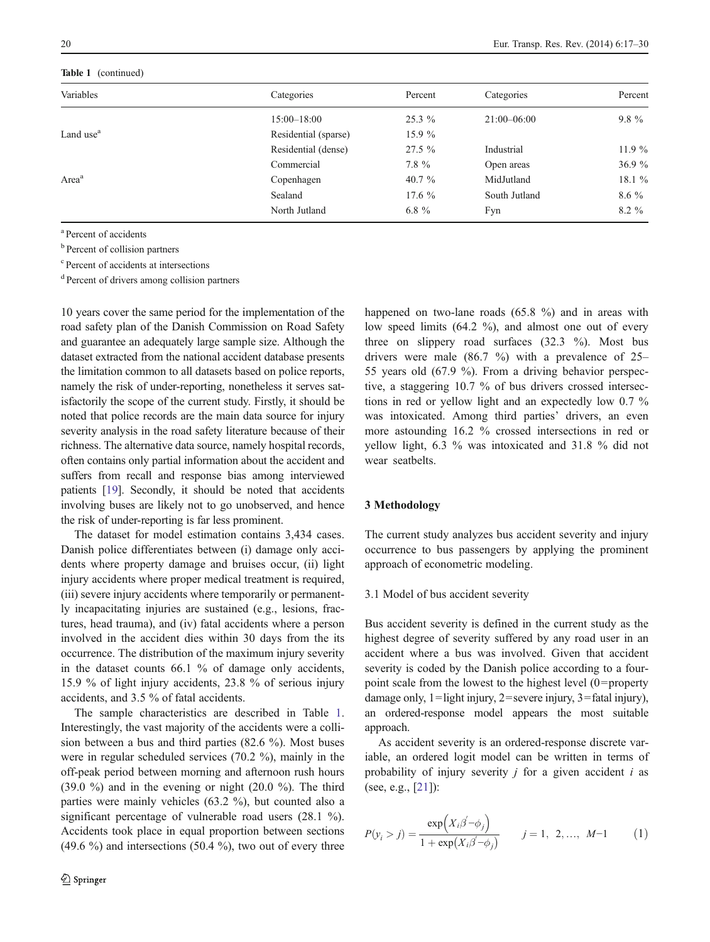#### <span id="page-3-0"></span>Table 1 (continued)

| Variables             | Categories           | Percent   | Categories    | Percent  |
|-----------------------|----------------------|-----------|---------------|----------|
|                       | $15:00 - 18:00$      | $25.3\%$  | $21:00-06:00$ | $9.8\%$  |
| Land use <sup>a</sup> | Residential (sparse) | $15.9 \%$ |               |          |
|                       | Residential (dense)  | $27.5\%$  | Industrial    | 11.9%    |
|                       | Commercial           | $7.8 \%$  | Open areas    | 36.9 %   |
| Area <sup>a</sup>     | Copenhagen           | 40.7 $%$  | MidJutland    | 18.1 %   |
|                       | Sealand              | $17.6\%$  | South Jutland | $8.6\%$  |
|                       | North Jutland        | 6.8 $%$   | Fyn           | $8.2 \%$ |
|                       |                      |           |               |          |

a Percent of accidents

<sup>b</sup> Percent of collision partners

<sup>c</sup> Percent of accidents at intersections

<sup>d</sup> Percent of drivers among collision partners

10 years cover the same period for the implementation of the road safety plan of the Danish Commission on Road Safety and guarantee an adequately large sample size. Although the dataset extracted from the national accident database presents the limitation common to all datasets based on police reports, namely the risk of under-reporting, nonetheless it serves satisfactorily the scope of the current study. Firstly, it should be noted that police records are the main data source for injury severity analysis in the road safety literature because of their richness. The alternative data source, namely hospital records, often contains only partial information about the accident and suffers from recall and response bias among interviewed patients [\[19\]](#page-12-0). Secondly, it should be noted that accidents involving buses are likely not to go unobserved, and hence the risk of under-reporting is far less prominent.

The dataset for model estimation contains 3,434 cases. Danish police differentiates between (i) damage only accidents where property damage and bruises occur, (ii) light injury accidents where proper medical treatment is required, (iii) severe injury accidents where temporarily or permanently incapacitating injuries are sustained (e.g., lesions, fractures, head trauma), and (iv) fatal accidents where a person involved in the accident dies within 30 days from the its occurrence. The distribution of the maximum injury severity in the dataset counts 66.1 % of damage only accidents, 15.9 % of light injury accidents, 23.8 % of serious injury accidents, and 3.5 % of fatal accidents.

The sample characteristics are described in Table [1.](#page-2-0) Interestingly, the vast majority of the accidents were a collision between a bus and third parties (82.6 %). Most buses were in regular scheduled services (70.2 %), mainly in the off-peak period between morning and afternoon rush hours (39.0 %) and in the evening or night (20.0 %). The third parties were mainly vehicles (63.2 %), but counted also a significant percentage of vulnerable road users  $(28.1 \%)$ . Accidents took place in equal proportion between sections  $(49.6\%)$  and intersections  $(50.4\%)$ , two out of every three happened on two-lane roads (65.8 %) and in areas with low speed limits (64.2 %), and almost one out of every three on slippery road surfaces (32.3 %). Most bus drivers were male (86.7 %) with a prevalence of 25– 55 years old (67.9 %). From a driving behavior perspective, a staggering 10.7 % of bus drivers crossed intersections in red or yellow light and an expectedly low 0.7 % was intoxicated. Among third parties' drivers, an even more astounding 16.2 % crossed intersections in red or yellow light, 6.3 % was intoxicated and 31.8 % did not wear seatbelts.

## 3 Methodology

The current study analyzes bus accident severity and injury occurrence to bus passengers by applying the prominent approach of econometric modeling.

#### 3.1 Model of bus accident severity

Bus accident severity is defined in the current study as the highest degree of severity suffered by any road user in an accident where a bus was involved. Given that accident severity is coded by the Danish police according to a fourpoint scale from the lowest to the highest level (0=property damage only, 1=light injury, 2=severe injury, 3=fatal injury), an ordered-response model appears the most suitable approach.

As accident severity is an ordered-response discrete variable, an ordered logit model can be written in terms of probability of injury severity  $j$  for a given accident  $i$  as (see, e.g., [[21\]](#page-12-0)):

$$
P(y_i > j) = \frac{\exp(x_i \beta' - \phi_j)}{1 + \exp(x_i \beta' - \phi_j)}
$$
 j = 1, 2, ..., M-1 (1)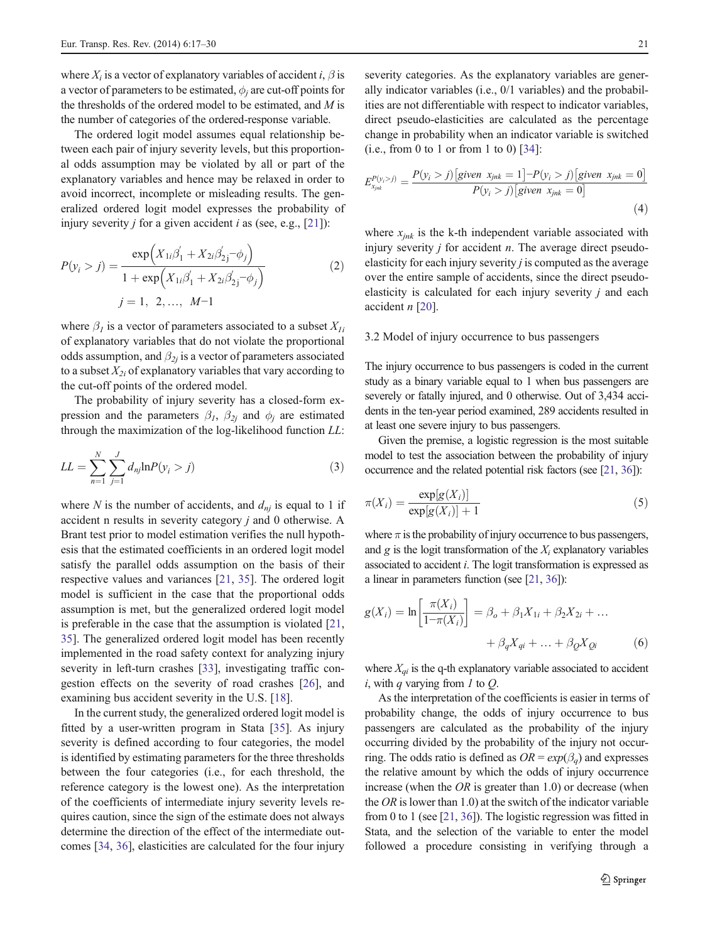where  $X_i$  is a vector of explanatory variables of accident i,  $\beta$  is a vector of parameters to be estimated,  $\phi_i$  are cut-off points for the thresholds of the ordered model to be estimated, and  $M$  is the number of categories of the ordered-response variable.

The ordered logit model assumes equal relationship between each pair of injury severity levels, but this proportional odds assumption may be violated by all or part of the explanatory variables and hence may be relaxed in order to avoid incorrect, incomplete or misleading results. The generalized ordered logit model expresses the probability of injury severity  $j$  for a given accident  $i$  as (see, e.g., [\[21](#page-12-0)]):

$$
P(y_i > j) = \frac{\exp(X_{1i}\beta'_1 + X_{2i}\beta'_{2j} - \phi_j)}{1 + \exp(X_{1i}\beta'_1 + X_{2i}\beta'_{2j} - \phi_j)}
$$
(2)  

$$
j = 1, 2, ..., M-1
$$

where  $\beta_l$  is a vector of parameters associated to a subset  $X_{li}$ of explanatory variables that do not violate the proportional odds assumption, and  $\beta_{2i}$  is a vector of parameters associated to a subset  $X_{2i}$  of explanatory variables that vary according to the cut-off points of the ordered model.

The probability of injury severity has a closed-form expression and the parameters  $\beta_1$ ,  $\beta_2$  and  $\phi_i$  are estimated through the maximization of the log-likelihood function LL:

$$
LL = \sum_{n=1}^{N} \sum_{j=1}^{J} d_{nj} \ln P(y_i > j)
$$
 (3)

where N is the number of accidents, and  $d_{nj}$  is equal to 1 if accident n results in severity category j and 0 otherwise. A Brant test prior to model estimation verifies the null hypothesis that the estimated coefficients in an ordered logit model satisfy the parallel odds assumption on the basis of their respective values and variances [\[21](#page-12-0), [35\]](#page-13-0). The ordered logit model is sufficient in the case that the proportional odds assumption is met, but the generalized ordered logit model is preferable in the case that the assumption is violated [[21,](#page-12-0) [35](#page-13-0)]. The generalized ordered logit model has been recently implemented in the road safety context for analyzing injury severity in left-turn crashes [[33\]](#page-13-0), investigating traffic congestion effects on the severity of road crashes [\[26](#page-12-0)], and examining bus accident severity in the U.S. [\[18](#page-12-0)].

In the current study, the generalized ordered logit model is fitted by a user-written program in Stata [[35\]](#page-13-0). As injury severity is defined according to four categories, the model is identified by estimating parameters for the three thresholds between the four categories (i.e., for each threshold, the reference category is the lowest one). As the interpretation of the coefficients of intermediate injury severity levels requires caution, since the sign of the estimate does not always determine the direction of the effect of the intermediate outcomes [\[34](#page-13-0), [36](#page-13-0)], elasticities are calculated for the four injury

severity categories. As the explanatory variables are generally indicator variables (i.e., 0/1 variables) and the probabilities are not differentiable with respect to indicator variables, direct pseudo-elasticities are calculated as the percentage change in probability when an indicator variable is switched (i.e., from 0 to 1 or from 1 to 0)  $[34]$  $[34]$ :

$$
E_{x_{jnk}}^{P(y_i > j)} = \frac{P(y_i > j) \left[ given \ x_{jnk} = 1 \right] - P(y_i > j) \left[ given \ x_{jnk} = 0 \right]}{P(y_i > j) \left[ given \ x_{jnk} = 0 \right]}
$$
\n
$$
(4)
$$

where  $x_{jnk}$  is the k-th independent variable associated with injury severity  $j$  for accident  $n$ . The average direct pseudoelasticity for each injury severity j is computed as the average over the entire sample of accidents, since the direct pseudoelasticity is calculated for each injury severity  $i$  and each accident n [[20\]](#page-12-0).

## 3.2 Model of injury occurrence to bus passengers

The injury occurrence to bus passengers is coded in the current study as a binary variable equal to 1 when bus passengers are severely or fatally injured, and 0 otherwise. Out of 3,434 accidents in the ten-year period examined, 289 accidents resulted in at least one severe injury to bus passengers.

Given the premise, a logistic regression is the most suitable model to test the association between the probability of injury occurrence and the related potential risk factors (see [[21](#page-12-0), [36](#page-13-0)]):

$$
\pi(X_i) = \frac{\exp[g(X_i)]}{\exp[g(X_i)] + 1} \tag{5}
$$

where  $\pi$  is the probability of injury occurrence to bus passengers, and g is the logit transformation of the  $X_i$  explanatory variables associated to accident i. The logit transformation is expressed as a linear in parameters function (see [[21](#page-12-0), [36](#page-13-0)]):

$$
g(X_i) = \ln \left[ \frac{\pi(X_i)}{1 - \pi(X_i)} \right] = \beta_o + \beta_1 X_{1i} + \beta_2 X_{2i} + \dots
$$

$$
+ \beta_q X_{qi} + \dots + \beta_Q X_{Qi}
$$
(6)

where  $X_{qi}$  is the q-th explanatory variable associated to accident i, with q varying from 1 to  $Q$ .

As the interpretation of the coefficients is easier in terms of probability change, the odds of injury occurrence to bus passengers are calculated as the probability of the injury occurring divided by the probability of the injury not occurring. The odds ratio is defined as  $OR = exp(\beta_a)$  and expresses the relative amount by which the odds of injury occurrence increase (when the OR is greater than 1.0) or decrease (when the OR is lower than 1.0) at the switch of the indicator variable from 0 to 1 (see [\[21,](#page-12-0) [36](#page-13-0)]). The logistic regression was fitted in Stata, and the selection of the variable to enter the model followed a procedure consisting in verifying through a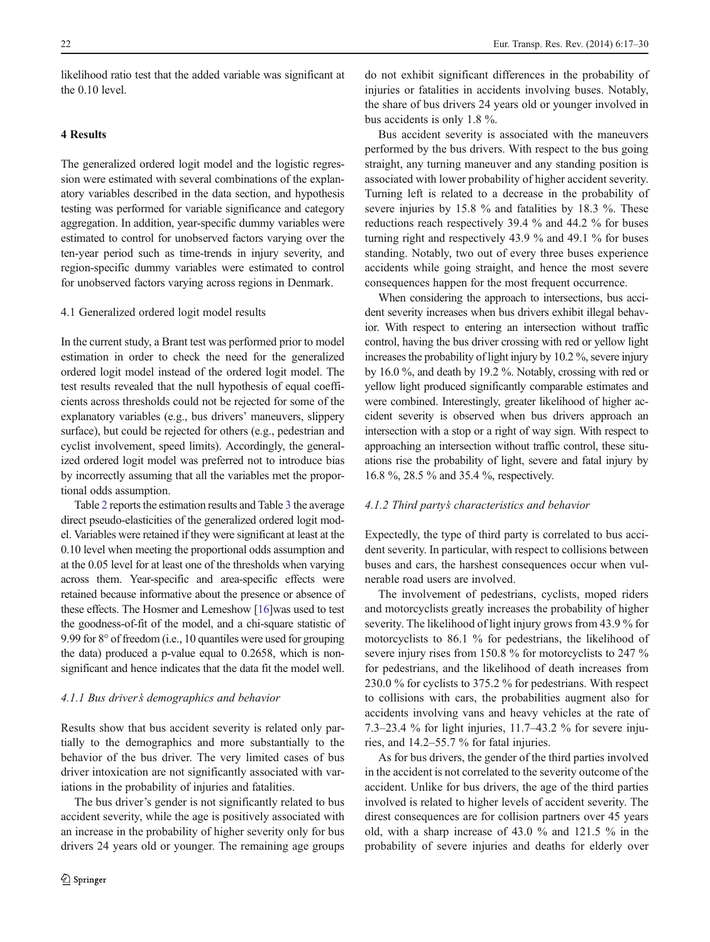<span id="page-5-0"></span>likelihood ratio test that the added variable was significant at the 0.10 level.

## 4 Results

The generalized ordered logit model and the logistic regression were estimated with several combinations of the explanatory variables described in the data section, and hypothesis testing was performed for variable significance and category aggregation. In addition, year-specific dummy variables were estimated to control for unobserved factors varying over the ten-year period such as time-trends in injury severity, and region-specific dummy variables were estimated to control for unobserved factors varying across regions in Denmark.

## 4.1 Generalized ordered logit model results

In the current study, a Brant test was performed prior to model estimation in order to check the need for the generalized ordered logit model instead of the ordered logit model. The test results revealed that the null hypothesis of equal coefficients across thresholds could not be rejected for some of the explanatory variables (e.g., bus drivers' maneuvers, slippery surface), but could be rejected for others (e.g., pedestrian and cyclist involvement, speed limits). Accordingly, the generalized ordered logit model was preferred not to introduce bias by incorrectly assuming that all the variables met the proportional odds assumption.

Table [2](#page-6-0) reports the estimation results and Table [3](#page-8-0) the average direct pseudo-elasticities of the generalized ordered logit model. Variables were retained if they were significant at least at the 0.10 level when meeting the proportional odds assumption and at the 0.05 level for at least one of the thresholds when varying across them. Year-specific and area-specific effects were retained because informative about the presence or absence of these effects. The Hosmer and Lemeshow [\[16\]](#page-12-0)was used to test the goodness-of-fit of the model, and a chi-square statistic of 9.99 for 8° of freedom (i.e., 10 quantiles were used for grouping the data) produced a p-value equal to 0.2658, which is nonsignificant and hence indicates that the data fit the model well.

### 4.1.1 Bus driver's demographics and behavior

Results show that bus accident severity is related only partially to the demographics and more substantially to the behavior of the bus driver. The very limited cases of bus driver intoxication are not significantly associated with variations in the probability of injuries and fatalities.

The bus driver's gender is not significantly related to bus accident severity, while the age is positively associated with an increase in the probability of higher severity only for bus drivers 24 years old or younger. The remaining age groups do not exhibit significant differences in the probability of injuries or fatalities in accidents involving buses. Notably, the share of bus drivers 24 years old or younger involved in bus accidents is only 1.8 %.

Bus accident severity is associated with the maneuvers performed by the bus drivers. With respect to the bus going straight, any turning maneuver and any standing position is associated with lower probability of higher accident severity. Turning left is related to a decrease in the probability of severe injuries by 15.8 % and fatalities by 18.3 %. These reductions reach respectively 39.4 % and 44.2 % for buses turning right and respectively 43.9 % and 49.1 % for buses standing. Notably, two out of every three buses experience accidents while going straight, and hence the most severe consequences happen for the most frequent occurrence.

When considering the approach to intersections, bus accident severity increases when bus drivers exhibit illegal behavior. With respect to entering an intersection without traffic control, having the bus driver crossing with red or yellow light increases the probability of light injury by 10.2 %, severe injury by 16.0 %, and death by 19.2 %. Notably, crossing with red or yellow light produced significantly comparable estimates and were combined. Interestingly, greater likelihood of higher accident severity is observed when bus drivers approach an intersection with a stop or a right of way sign. With respect to approaching an intersection without traffic control, these situations rise the probability of light, severe and fatal injury by 16.8 %, 28.5 % and 35.4 %, respectively.

## 4.1.2 Third party's characteristics and behavior

Expectedly, the type of third party is correlated to bus accident severity. In particular, with respect to collisions between buses and cars, the harshest consequences occur when vulnerable road users are involved.

The involvement of pedestrians, cyclists, moped riders and motorcyclists greatly increases the probability of higher severity. The likelihood of light injury grows from 43.9 % for motorcyclists to 86.1 % for pedestrians, the likelihood of severe injury rises from 150.8 % for motorcyclists to 247 % for pedestrians, and the likelihood of death increases from 230.0 % for cyclists to 375.2 % for pedestrians. With respect to collisions with cars, the probabilities augment also for accidents involving vans and heavy vehicles at the rate of 7.3–23.4 % for light injuries, 11.7–43.2 % for severe injuries, and 14.2–55.7 % for fatal injuries.

As for bus drivers, the gender of the third parties involved in the accident is not correlated to the severity outcome of the accident. Unlike for bus drivers, the age of the third parties involved is related to higher levels of accident severity. The direst consequences are for collision partners over 45 years old, with a sharp increase of 43.0 % and 121.5 % in the probability of severe injuries and deaths for elderly over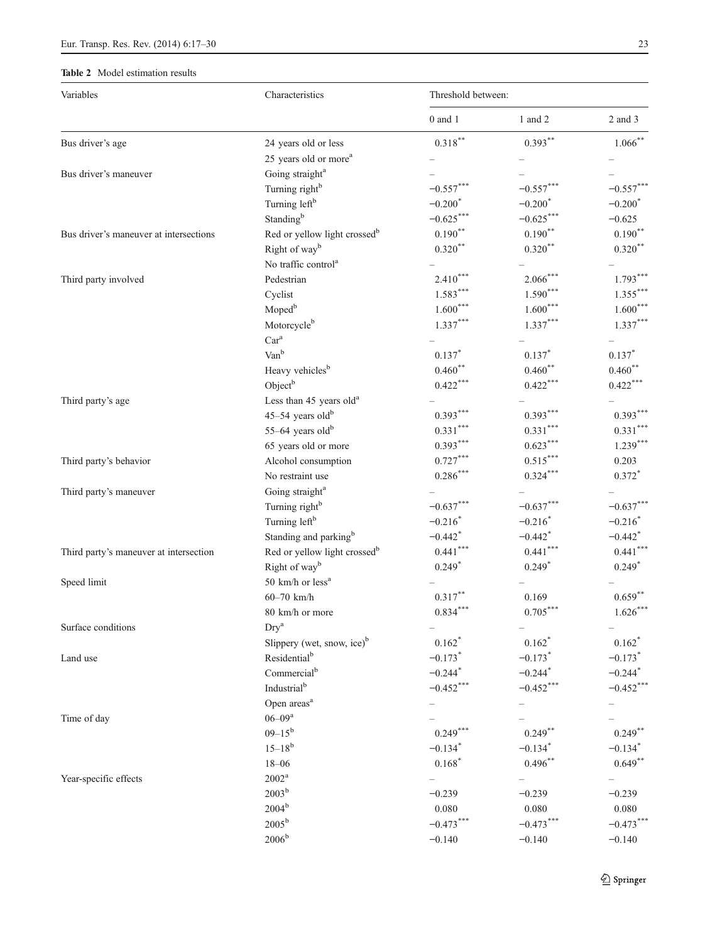# <span id="page-6-0"></span>Table 2 Model estimation results

| Variables                              | Characteristics                          | Threshold between:    |                       |                       |
|----------------------------------------|------------------------------------------|-----------------------|-----------------------|-----------------------|
|                                        |                                          | $0$ and $1$           | 1 and 2               | 2 and 3               |
| Bus driver's age                       | 24 years old or less                     | $0.318***$            | $0.393***$            | $1.066$ **            |
|                                        | 25 years old or more <sup>a</sup>        |                       |                       |                       |
| Bus driver's maneuver                  | Going straight <sup>a</sup>              |                       |                       |                       |
|                                        | Turning right <sup>b</sup>               | $-0.557***$           | $-0.557***$           | $-0.557***$           |
|                                        | Turning left <sup>b</sup>                | $-0.200*$             | $-0.200*$             | $-0.200*$             |
|                                        | Standing <sup>b</sup>                    | $-0.625***$           | $-0.625***$           | $-0.625$              |
| Bus driver's maneuver at intersections | Red or yellow light crossed <sup>b</sup> | $0.190***$            | $0.190***$            | $0.190***$            |
|                                        | Right of way <sup>b</sup>                | $0.320**$             | $0.320**$             | $0.320***$            |
|                                        | No traffic control <sup>a</sup>          |                       |                       |                       |
| Third party involved                   | Pedestrian                               | $2.410***$            | $2.066***$            | $1.793***$            |
|                                        | Cyclist                                  | $1.583***$            | $1.590***$            | $1.355***$            |
|                                        | Moped <sup>b</sup>                       | $1.600***$            | $1.600***$            | $1.600^{***}$         |
|                                        | Motorcycleb                              | $1.337***$            | $1.337***$            | $1.337***$            |
|                                        | Car <sup>a</sup>                         |                       |                       |                       |
|                                        | Van <sup>b</sup>                         | $0.137*$              | $0.137*$              | $0.137*$              |
|                                        | Heavy vehicles <sup>b</sup>              | $0.460**$             | $0.460**$             | $0.460$ **            |
|                                        | Object <sup>b</sup>                      | $0.422***$            | $0.422***$            | $0.422***$            |
| Third party's age                      | Less than 45 years old <sup>a</sup>      |                       |                       |                       |
|                                        | $45-54$ years old <sup>b</sup>           | $0.393***$            | $0.393***$            | $0.393***$            |
|                                        | 55-64 years old $b$                      | $0.331***$            | $0.331***$            | $0.331***$            |
|                                        | 65 years old or more                     | $0.393***$            | $0.623***$            | $1.239***$            |
| Third party's behavior                 | Alcohol consumption                      | $0.727***$            | $0.515***$            | 0.203                 |
|                                        | No restraint use                         | $0.286***$            | $0.324***$            | $0.372*$              |
| Third party's maneuver                 | Going straight <sup>a</sup>              |                       |                       |                       |
|                                        | Turning right <sup>b</sup>               | $-0.637***$           | $-0.637***$           | $-0.637***$           |
|                                        | Turning left <sup>b</sup>                | $-0.216*$             | $-0.216*$             | $-0.216*$             |
|                                        | Standing and parking <sup>b</sup>        | $-0.442$ <sup>*</sup> | $-0.442$ <sup>*</sup> | $-0.442$ <sup>*</sup> |
| Third party's maneuver at intersection | Red or yellow light crossed <sup>b</sup> | $0.441***$            | $0.441***$            | $0.441$ **            |
|                                        | Right of way <sup>b</sup>                | $0.249*$              | $0.249*$              | $0.249*$              |
| Speed limit                            | 50 km/h or less <sup>a</sup>             |                       |                       |                       |
|                                        | $60 - 70$ km/h                           | $0.317***$            | 0.169                 | $0.659^{**}$          |
|                                        | 80 km/h or more                          | $0.834***$            | $0.705***$            | $1.626***$            |
| Surface conditions                     | $_{\rm Dry}^{\rm a}$                     |                       |                       |                       |
|                                        | Slippery (wet, snow, ice) $b$            | $0.162*$              | $0.162*$              | $0.162*$              |
|                                        | Residential <sup>b</sup>                 | $-0.173$ <sup>*</sup> | $-0.173$ <sup>*</sup> | $-0.173$ <sup>*</sup> |
| Land use                               | Commercial <sup>b</sup>                  | $-0.244$ <sup>*</sup> | $-0.244$ <sup>*</sup> | $-0.244$ <sup>*</sup> |
|                                        | Industrial <sup>b</sup>                  | $-0.452***$           | $-0.452***$           | $-0.452***$           |
|                                        | Open areas <sup>a</sup>                  |                       |                       |                       |
|                                        | $06 - 09$ <sup>a</sup>                   |                       |                       |                       |
| Time of day                            | $09 - 15^b$                              | $0.249***$            |                       |                       |
|                                        |                                          |                       | $0.249***$            | $0.249$ **            |
|                                        | $15 - 18^{b}$                            | $-0.134$ <sup>*</sup> | $-0.134$ <sup>*</sup> | $-0.134$ <sup>*</sup> |
|                                        | $18 - 06$                                | $0.168*$              | $0.496***$            | $0.649**$             |
| Year-specific effects                  | $2002^a$                                 |                       |                       |                       |
|                                        | 2003 <sup>b</sup>                        | $-0.239$              | $-0.239$              | $-0.239$              |
|                                        | $2004^b$                                 | 0.080                 | 0.080                 | $\,0.080\,$           |
|                                        | $2005^{\rm b}$                           | $-0.473***$           | $-0.473***$           | $-0.473***$           |
|                                        | $2006^b$                                 | $-0.140$              | $-0.140$              | $-0.140$              |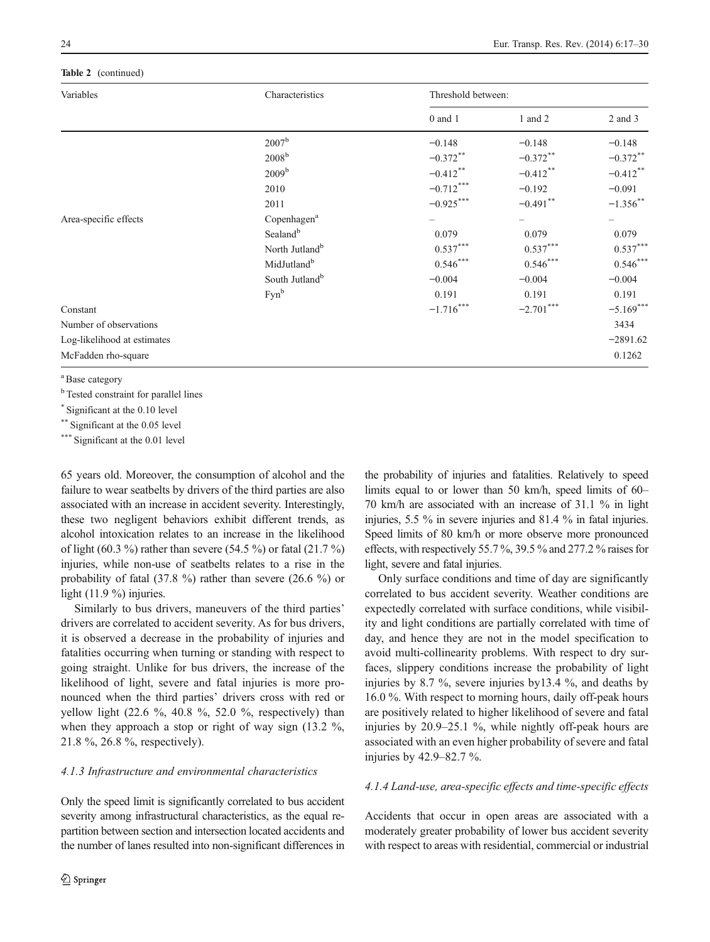#### Table 2 (continued)

| Variables                   | Characteristics            | Threshold between: |              |             |
|-----------------------------|----------------------------|--------------------|--------------|-------------|
|                             |                            | $0$ and $1$        | 1 and 2      | 2 and 3     |
|                             | 2007 <sup>b</sup>          | $-0.148$           | $-0.148$     | $-0.148$    |
|                             | 2008 <sup>b</sup>          | $-0.372$ **        | $-0.372$ **  | $-0.372$ ** |
|                             | 2009 <sup>b</sup>          | $-0.412$ **        | $-0.412$ **  | $-0.412$ ** |
|                             | 2010                       | $-0.712***$        | $-0.192$     | $-0.091$    |
|                             | 2011                       | $-0.925***$        | $-0.491$ **  | $-1.356$ ** |
| Area-specific effects       | Copenhagen <sup>a</sup>    |                    |              |             |
|                             | Sealand <sup>b</sup>       | 0.079              | 0.079        | 0.079       |
|                             | North Jutland <sup>b</sup> | $0.537***$         | $0.537***$   | $0.537***$  |
|                             | MidJutland <sup>b</sup>    | $0.546***$         | $0.546***$   | $0.546$ **  |
|                             | South Jutland <sup>b</sup> | $-0.004$           | $-0.004$     | $-0.004$    |
|                             | Fyn <sup>b</sup>           | 0.191              | 0.191        | 0.191       |
| Constant                    |                            | $-1.716***$        | $-2.701$ *** | $-5.169***$ |
| Number of observations      |                            |                    |              | 3434        |
| Log-likelihood at estimates |                            |                    |              | $-2891.62$  |
| McFadden rho-square         |                            |                    |              | 0.1262      |
|                             |                            |                    |              |             |

<sup>a</sup> Base category

**b** Tested constraint for parallel lines

\* Significant at the 0.10 level

\*\* Significant at the 0.05 level

\*\*\* Significant at the 0.01 level

65 years old. Moreover, the consumption of alcohol and the failure to wear seatbelts by drivers of the third parties are also associated with an increase in accident severity. Interestingly, these two negligent behaviors exhibit different trends, as alcohol intoxication relates to an increase in the likelihood of light (60.3 %) rather than severe (54.5 %) or fatal (21.7 %) injuries, while non-use of seatbelts relates to a rise in the probability of fatal (37.8 %) rather than severe (26.6 %) or light (11.9 %) injuries.

Similarly to bus drivers, maneuvers of the third parties' drivers are correlated to accident severity. As for bus drivers, it is observed a decrease in the probability of injuries and fatalities occurring when turning or standing with respect to going straight. Unlike for bus drivers, the increase of the likelihood of light, severe and fatal injuries is more pronounced when the third parties' drivers cross with red or yellow light (22.6 %, 40.8 %, 52.0 %, respectively) than when they approach a stop or right of way sign (13.2 %, 21.8 %, 26.8 %, respectively).

# 4.1.3 Infrastructure and environmental characteristics

Only the speed limit is significantly correlated to bus accident severity among infrastructural characteristics, as the equal repartition between section and intersection located accidents and the number of lanes resulted into non-significant differences in the probability of injuries and fatalities. Relatively to speed limits equal to or lower than 50 km/h, speed limits of 60– 70 km/h are associated with an increase of 31.1 % in light injuries, 5.5 % in severe injuries and 81.4 % in fatal injuries. Speed limits of 80 km/h or more observe more pronounced effects, with respectively 55.7 %, 39.5 % and 277.2 % raises for light, severe and fatal injuries.

Only surface conditions and time of day are significantly correlated to bus accident severity. Weather conditions are expectedly correlated with surface conditions, while visibility and light conditions are partially correlated with time of day, and hence they are not in the model specification to avoid multi-collinearity problems. With respect to dry surfaces, slippery conditions increase the probability of light injuries by 8.7 %, severe injuries by13.4 %, and deaths by 16.0 %. With respect to morning hours, daily off-peak hours are positively related to higher likelihood of severe and fatal injuries by 20.9–25.1 %, while nightly off-peak hours are associated with an even higher probability of severe and fatal injuries by 42.9–82.7 %.

## 4.1.4 Land-use, area-specific effects and time-specific effects

Accidents that occur in open areas are associated with a moderately greater probability of lower bus accident severity with respect to areas with residential, commercial or industrial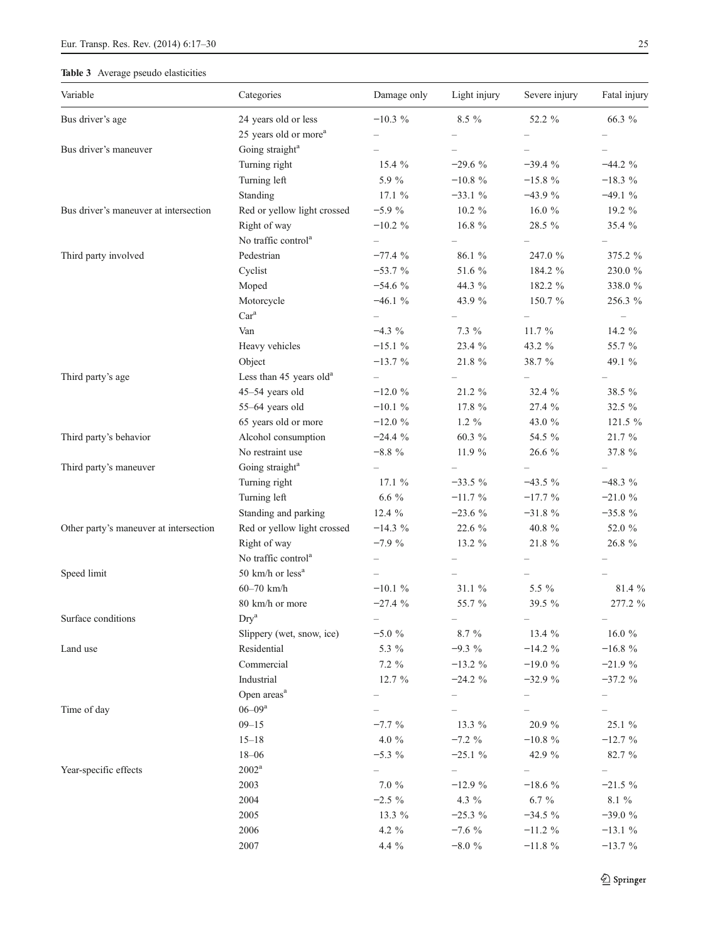# <span id="page-8-0"></span>Table 3 Average pseudo elasticities

| Variable                               | Categories                          | Damage only       | Light injury             | Severe injury            | Fatal injury             |
|----------------------------------------|-------------------------------------|-------------------|--------------------------|--------------------------|--------------------------|
| Bus driver's age                       | 24 years old or less                | $-10.3 \%$        | $8.5\%$                  | 52.2 %                   | 66.3 %                   |
|                                        | 25 years old or more <sup>a</sup>   |                   |                          |                          |                          |
| Bus driver's maneuver                  | Going straight <sup>a</sup>         |                   |                          |                          |                          |
|                                        | Turning right                       | $15.4\%$          | $-29.6%$                 | $-39.4%$                 | $-44.2%$                 |
|                                        | Turning left                        | 5.9 %             | $-10.8 \%$               | $-15.8 \%$               | $-18.3 \%$               |
|                                        | Standing                            | 17.1 %            | $-33.1%$                 | $-43.9%$                 | $-49.1%$                 |
| Bus driver's maneuver at intersection  | Red or yellow light crossed         | $-5.9 \%$         | $10.2 \%$                | 16.0 %                   | 19.2 %                   |
|                                        | Right of way                        | $-10.2 \%$        | 16.8 %                   | 28.5 %                   | 35.4 %                   |
|                                        | No traffic control <sup>a</sup>     |                   |                          |                          |                          |
| Third party involved                   | Pedestrian                          | $-77.4%$          | 86.1 %                   | 247.0 %                  | 375.2 %                  |
|                                        | Cyclist                             | $-53.7%$          | 51.6 %                   | 184.2 %                  | 230.0 %                  |
|                                        | Moped                               | $-54.6%$          | 44.3 %                   | 182.2 %                  | 338.0 %                  |
|                                        | Motorcycle                          | $-46.1%$          | 43.9 %                   | 150.7 %                  | 256.3 %                  |
|                                        | Car <sup>a</sup>                    |                   |                          | $\equiv$                 | $\equiv$                 |
|                                        | Van                                 | $-4.3 \%$         | $7.3\%$                  | 11.7 %                   | 14.2 $%$                 |
|                                        | Heavy vehicles                      | $-15.1%$          | 23.4 %                   | 43.2 %                   | 55.7 %                   |
|                                        | Object                              | $-13.7%$          | 21.8 %                   | 38.7 %                   | 49.1 %                   |
| Third party's age                      | Less than 45 years old <sup>a</sup> | $\equiv$          |                          |                          |                          |
|                                        | 45-54 years old                     | $-12.0%$          | 21.2 %                   | 32.4 %                   | 38.5 %                   |
|                                        | 55-64 years old                     | $-10.1%$          | 17.8 %                   | 27.4 %                   | 32.5 %                   |
|                                        | 65 years old or more                | $-12.0%$          | 1.2 $%$                  | 43.0 %                   | 121.5 %                  |
|                                        | Alcohol consumption                 | $-24.4%$          | 60.3 %                   | 54.5 %                   | 21.7%                    |
| Third party's behavior                 | No restraint use                    | $-8.8\%$          | 11.9 %                   | 26.6 %                   |                          |
|                                        |                                     |                   |                          |                          | 37.8 %                   |
| Third party's maneuver                 | Going straight <sup>a</sup>         |                   |                          |                          |                          |
|                                        | Turning right                       | 17.1%             | $-33.5 \%$               | $-43.5 \%$               | $-48.3\%$                |
|                                        | Turning left                        | 6.6 $%$           | $-11.7 \%$               | $-17.7%$                 | $-21.0 \%$               |
|                                        | Standing and parking                | 12.4 $%$          | $-23.6 \%$               | $-31.8 \%$               | $-35.8 \%$               |
| Other party's maneuver at intersection | Red or yellow light crossed         | $-14.3 \%$        | 22.6 %                   | 40.8 %                   | 52.0 %                   |
|                                        | Right of way                        | $-7.9%$           | 13.2 %                   | 21.8 %                   | 26.8 %                   |
|                                        | No traffic control <sup>a</sup>     |                   |                          |                          |                          |
| Speed limit                            | 50 km/h or less <sup>a</sup>        |                   |                          |                          |                          |
|                                        | $60 - 70$ km/h                      | $-10.1%$          | 31.1 %                   | 5.5 %                    | 81.4 %                   |
|                                        | 80 km/h or more                     | $-27.4%$          | 55.7 %                   | 39.5 %                   | 277.2 %                  |
| Surface conditions                     | Dry <sup>a</sup>                    | $\qquad \qquad -$ | $\overline{\phantom{0}}$ | $\overline{\phantom{0}}$ | $\overline{\phantom{0}}$ |
|                                        | Slippery (wet, snow, ice)           | $-5.0 \%$         | $8.7 \%$                 | 13.4 %                   | 16.0 $%$                 |
| Land use                               | Residential                         | 5.3 %             | $-9.3 \%$                | $-14.2 \%$               | $-16.8 \%$               |
|                                        | Commercial                          | $7.2 \%$          | $-13.2 \%$               | $-19.0%$                 | $-21.9 \%$               |
|                                        | Industrial                          | $12.7\%$          | $-24.2 \%$               | $-32.9%$                 | $-37.2 \%$               |
|                                        | Open areas <sup>a</sup>             |                   |                          | -                        |                          |
| Time of day                            | $06 - 09$ <sup>a</sup>              |                   |                          | $\equiv$                 |                          |
|                                        | $09 - 15$                           | $-7.7\%$          | 13.3 %                   | 20.9 %                   | 25.1 %                   |
|                                        | $15 - 18$                           | 4.0 %             | $-7.2 \%$                | $-10.8~\%$               | $-12.7 \%$               |
|                                        | $18 - 06$                           | $-5.3 \%$         | $-25.1%$                 | 42.9 %                   | 82.7 %                   |
| Year-specific effects                  | $2002^a$                            |                   | $\overline{\phantom{0}}$ | $\overline{\phantom{0}}$ |                          |
|                                        | 2003                                | 7.0 %             | $-12.9%$                 | $-18.6\%$                | $-21.5 \%$               |
|                                        | 2004                                | $-2.5 \%$         | 4.3 $%$                  | 6.7 $%$                  | $8.1\%$                  |
|                                        | 2005                                | 13.3 %            | $-25.3 \%$               | $-34.5 \%$               | $-39.0%$                 |
|                                        | 2006                                | 4.2 %             | $-7.6 \%$                | $-11.2 \%$               | $-13.1 \%$               |
|                                        | 2007                                | 4.4 %             | $-8.0 \%$                | $-11.8 \%$               | $-13.7 \%$               |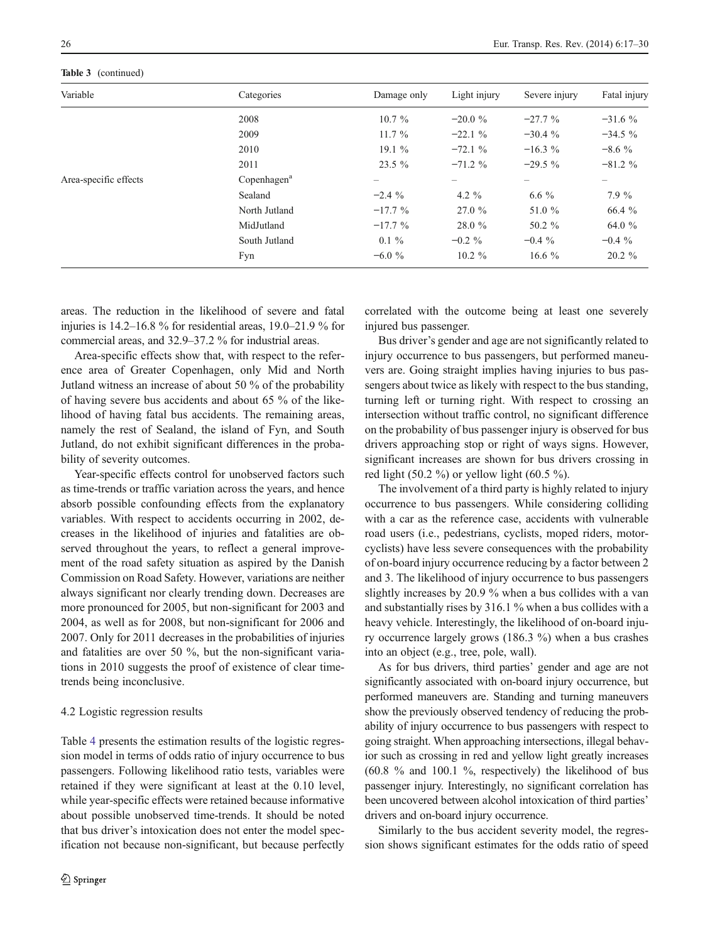Table 3 (continued)

| Variable              | Categories              | Damage only | Light injury | Severe injury | Fatal injury |
|-----------------------|-------------------------|-------------|--------------|---------------|--------------|
|                       |                         |             |              |               |              |
|                       | 2008                    | $10.7 \%$   | $-20.0 \%$   | $-27.7 \%$    | $-31.6%$     |
|                       | 2009                    | $11.7 \%$   | $-22.1 \%$   | $-30.4%$      | $-34.5 \%$   |
|                       | 2010                    | 19.1%       | $-72.1%$     | $-16.3 \%$    | $-8.6\%$     |
|                       | 2011                    | $23.5\%$    | $-71.2 \%$   | $-29.5 \%$    | $-81.2 \%$   |
| Area-specific effects | Copenhagen <sup>a</sup> |             |              |               |              |
|                       | Sealand                 | $-2.4\%$    | 4.2 $\%$     | 6.6 $\%$      | $7.9\%$      |
|                       | North Jutland           | $-17.7\%$   | 27.0%        | 51.0 %        | 66.4 %       |
|                       | MidJutland              | $-17.7\%$   | 28.0 %       | 50.2 $%$      | 64.0 %       |
|                       | South Jutland           | $0.1 \%$    | $-0.2 \%$    | $-0.4\%$      | $-0.4\%$     |
|                       | Fyn                     | $-6.0 \%$   | $10.2 \%$    | 16.6 $%$      | $20.2 \%$    |

areas. The reduction in the likelihood of severe and fatal injuries is 14.2–16.8 % for residential areas, 19.0–21.9 % for commercial areas, and 32.9–37.2 % for industrial areas.

Area-specific effects show that, with respect to the reference area of Greater Copenhagen, only Mid and North Jutland witness an increase of about 50 % of the probability of having severe bus accidents and about 65 % of the likelihood of having fatal bus accidents. The remaining areas, namely the rest of Sealand, the island of Fyn, and South Jutland, do not exhibit significant differences in the probability of severity outcomes.

Year-specific effects control for unobserved factors such as time-trends or traffic variation across the years, and hence absorb possible confounding effects from the explanatory variables. With respect to accidents occurring in 2002, decreases in the likelihood of injuries and fatalities are observed throughout the years, to reflect a general improvement of the road safety situation as aspired by the Danish Commission on Road Safety. However, variations are neither always significant nor clearly trending down. Decreases are more pronounced for 2005, but non-significant for 2003 and 2004, as well as for 2008, but non-significant for 2006 and 2007. Only for 2011 decreases in the probabilities of injuries and fatalities are over 50 %, but the non-significant variations in 2010 suggests the proof of existence of clear timetrends being inconclusive.

#### 4.2 Logistic regression results

Table [4](#page-10-0) presents the estimation results of the logistic regression model in terms of odds ratio of injury occurrence to bus passengers. Following likelihood ratio tests, variables were retained if they were significant at least at the 0.10 level, while year-specific effects were retained because informative about possible unobserved time-trends. It should be noted that bus driver's intoxication does not enter the model specification not because non-significant, but because perfectly correlated with the outcome being at least one severely injured bus passenger.

Bus driver's gender and age are not significantly related to injury occurrence to bus passengers, but performed maneuvers are. Going straight implies having injuries to bus passengers about twice as likely with respect to the bus standing, turning left or turning right. With respect to crossing an intersection without traffic control, no significant difference on the probability of bus passenger injury is observed for bus drivers approaching stop or right of ways signs. However, significant increases are shown for bus drivers crossing in red light (50.2 %) or yellow light (60.5 %).

The involvement of a third party is highly related to injury occurrence to bus passengers. While considering colliding with a car as the reference case, accidents with vulnerable road users (i.e., pedestrians, cyclists, moped riders, motorcyclists) have less severe consequences with the probability of on-board injury occurrence reducing by a factor between 2 and 3. The likelihood of injury occurrence to bus passengers slightly increases by 20.9 % when a bus collides with a van and substantially rises by 316.1 % when a bus collides with a heavy vehicle. Interestingly, the likelihood of on-board injury occurrence largely grows (186.3 %) when a bus crashes into an object (e.g., tree, pole, wall).

As for bus drivers, third parties' gender and age are not significantly associated with on-board injury occurrence, but performed maneuvers are. Standing and turning maneuvers show the previously observed tendency of reducing the probability of injury occurrence to bus passengers with respect to going straight. When approaching intersections, illegal behavior such as crossing in red and yellow light greatly increases (60.8 % and 100.1 %, respectively) the likelihood of bus passenger injury. Interestingly, no significant correlation has been uncovered between alcohol intoxication of third parties' drivers and on-board injury occurrence.

Similarly to the bus accident severity model, the regression shows significant estimates for the odds ratio of speed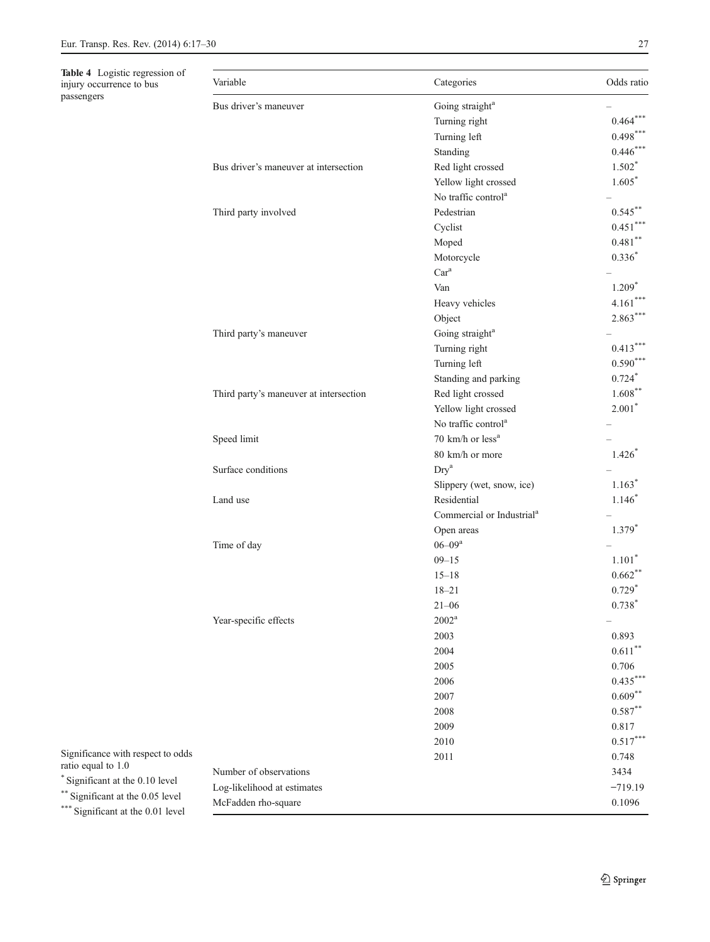<span id="page-10-0"></span>

| Table 4 Logistic regression of<br>injury occurrence to bus | Variable                               | Categories                            | Odds ratio           |
|------------------------------------------------------------|----------------------------------------|---------------------------------------|----------------------|
| passengers                                                 | Bus driver's maneuver                  | Going straight <sup>a</sup>           |                      |
|                                                            |                                        | Turning right                         | $0.464***$           |
|                                                            |                                        | Turning left                          | $0.498***$           |
|                                                            |                                        | Standing                              | $0.446***$           |
|                                                            | Bus driver's maneuver at intersection  | Red light crossed                     | $1.502*$             |
|                                                            |                                        | Yellow light crossed                  | $1.605*$             |
|                                                            |                                        | No traffic control <sup>a</sup>       |                      |
|                                                            | Third party involved                   | Pedestrian                            | $0.545***$           |
|                                                            |                                        | Cyclist                               | $0.451***$           |
|                                                            |                                        | Moped                                 | $0.481$ **           |
|                                                            |                                        | Motorcycle                            | $0.336*$             |
|                                                            |                                        | Car <sup>a</sup>                      |                      |
|                                                            |                                        | Van                                   | $1.209*$             |
|                                                            |                                        | Heavy vehicles                        | $4.161***$           |
|                                                            |                                        | Object                                | $2.863***$           |
|                                                            | Third party's maneuver                 | Going straight <sup>a</sup>           |                      |
|                                                            |                                        | Turning right                         | $0.413***$           |
|                                                            |                                        | Turning left                          | $0.590***$           |
|                                                            |                                        | Standing and parking                  | $0.724$ <sup>*</sup> |
|                                                            | Third party's maneuver at intersection | Red light crossed                     | $1.608***$           |
|                                                            |                                        | Yellow light crossed                  | $2.001*$             |
|                                                            |                                        | No traffic control <sup>a</sup>       |                      |
|                                                            | Speed limit                            | 70 km/h or less <sup>a</sup>          |                      |
|                                                            |                                        | 80 km/h or more                       | $1.426*$             |
|                                                            | Surface conditions                     | Dry <sup>a</sup>                      |                      |
|                                                            |                                        | Slippery (wet, snow, ice)             | $1.163*$             |
|                                                            | Land use                               | Residential                           | $1.146$ <sup>*</sup> |
|                                                            |                                        | Commercial or Industrial <sup>a</sup> |                      |
|                                                            |                                        |                                       | $1.379*$             |
|                                                            |                                        | Open areas<br>$06 - 09$ <sup>a</sup>  |                      |
|                                                            | Time of day                            | $09 - 15$                             | $1.101*$             |
|                                                            |                                        |                                       |                      |
|                                                            |                                        | $15 - 18$                             | $0.662$ **           |
|                                                            |                                        | $18 - 21$                             | $0.729*$             |
|                                                            |                                        | $21 - 06$                             | $0.738*$             |
|                                                            | Year-specific effects                  | $2002^a$                              |                      |
|                                                            |                                        | 2003                                  | 0.893                |
|                                                            |                                        | 2004                                  | $0.611***$           |
|                                                            |                                        | 2005                                  | 0.706                |
|                                                            |                                        | 2006                                  | $0.435***$           |
|                                                            |                                        | 2007                                  | $0.609**$            |
|                                                            |                                        | 2008                                  | $0.587**$            |
|                                                            |                                        | 2009                                  | 0.817                |
|                                                            |                                        | 2010                                  | $0.517***$           |
| Significance with respect to odds<br>ratio equal to 1.0    |                                        | 2011                                  | 0.748                |
| Significant at the 0.10 level                              | Number of observations                 |                                       | 3434                 |
| Significant at the 0.05 level                              | Log-likelihood at estimates            |                                       | $-719.19$            |
| Significant at the 0.01 level                              | McFadden rho-square                    |                                       | 0.1096               |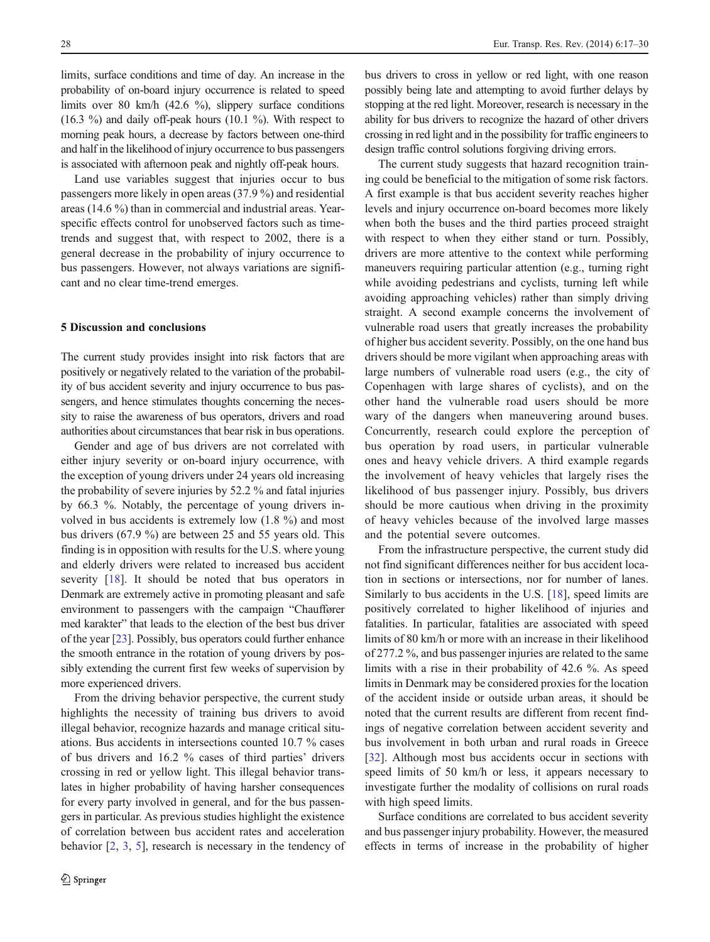<span id="page-11-0"></span>limits, surface conditions and time of day. An increase in the probability of on-board injury occurrence is related to speed limits over 80 km/h (42.6 %), slippery surface conditions (16.3 %) and daily off-peak hours (10.1 %). With respect to morning peak hours, a decrease by factors between one-third and half in the likelihood of injury occurrence to bus passengers is associated with afternoon peak and nightly off-peak hours.

Land use variables suggest that injuries occur to bus passengers more likely in open areas (37.9 %) and residential areas (14.6 %) than in commercial and industrial areas. Yearspecific effects control for unobserved factors such as timetrends and suggest that, with respect to 2002, there is a general decrease in the probability of injury occurrence to bus passengers. However, not always variations are significant and no clear time-trend emerges.

## 5 Discussion and conclusions

The current study provides insight into risk factors that are positively or negatively related to the variation of the probability of bus accident severity and injury occurrence to bus passengers, and hence stimulates thoughts concerning the necessity to raise the awareness of bus operators, drivers and road authorities about circumstances that bear risk in bus operations.

Gender and age of bus drivers are not correlated with either injury severity or on-board injury occurrence, with the exception of young drivers under 24 years old increasing the probability of severe injuries by 52.2 % and fatal injuries by 66.3 %. Notably, the percentage of young drivers involved in bus accidents is extremely low (1.8 %) and most bus drivers (67.9 %) are between 25 and 55 years old. This finding is in opposition with results for the U.S. where young and elderly drivers were related to increased bus accident severity [\[18](#page-12-0)]. It should be noted that bus operators in Denmark are extremely active in promoting pleasant and safe environment to passengers with the campaign "Chauffører med karakter" that leads to the election of the best bus driver of the year [\[23\]](#page-12-0). Possibly, bus operators could further enhance the smooth entrance in the rotation of young drivers by possibly extending the current first few weeks of supervision by more experienced drivers.

From the driving behavior perspective, the current study highlights the necessity of training bus drivers to avoid illegal behavior, recognize hazards and manage critical situations. Bus accidents in intersections counted 10.7 % cases of bus drivers and 16.2 % cases of third parties' drivers crossing in red or yellow light. This illegal behavior translates in higher probability of having harsher consequences for every party involved in general, and for the bus passengers in particular. As previous studies highlight the existence of correlation between bus accident rates and acceleration behavior [\[2](#page-12-0), [3,](#page-12-0) [5\]](#page-12-0), research is necessary in the tendency of

bus drivers to cross in yellow or red light, with one reason possibly being late and attempting to avoid further delays by stopping at the red light. Moreover, research is necessary in the ability for bus drivers to recognize the hazard of other drivers crossing in red light and in the possibility for traffic engineers to design traffic control solutions forgiving driving errors.

The current study suggests that hazard recognition training could be beneficial to the mitigation of some risk factors. A first example is that bus accident severity reaches higher levels and injury occurrence on-board becomes more likely when both the buses and the third parties proceed straight with respect to when they either stand or turn. Possibly, drivers are more attentive to the context while performing maneuvers requiring particular attention (e.g., turning right while avoiding pedestrians and cyclists, turning left while avoiding approaching vehicles) rather than simply driving straight. A second example concerns the involvement of vulnerable road users that greatly increases the probability of higher bus accident severity. Possibly, on the one hand bus drivers should be more vigilant when approaching areas with large numbers of vulnerable road users (e.g., the city of Copenhagen with large shares of cyclists), and on the other hand the vulnerable road users should be more wary of the dangers when maneuvering around buses. Concurrently, research could explore the perception of bus operation by road users, in particular vulnerable ones and heavy vehicle drivers. A third example regards the involvement of heavy vehicles that largely rises the likelihood of bus passenger injury. Possibly, bus drivers should be more cautious when driving in the proximity of heavy vehicles because of the involved large masses and the potential severe outcomes.

From the infrastructure perspective, the current study did not find significant differences neither for bus accident location in sections or intersections, nor for number of lanes. Similarly to bus accidents in the U.S. [[18\]](#page-12-0), speed limits are positively correlated to higher likelihood of injuries and fatalities. In particular, fatalities are associated with speed limits of 80 km/h or more with an increase in their likelihood of 277.2 %, and bus passenger injuries are related to the same limits with a rise in their probability of 42.6 %. As speed limits in Denmark may be considered proxies for the location of the accident inside or outside urban areas, it should be noted that the current results are different from recent findings of negative correlation between accident severity and bus involvement in both urban and rural roads in Greece [\[32](#page-13-0)]. Although most bus accidents occur in sections with speed limits of 50 km/h or less, it appears necessary to investigate further the modality of collisions on rural roads with high speed limits.

Surface conditions are correlated to bus accident severity and bus passenger injury probability. However, the measured effects in terms of increase in the probability of higher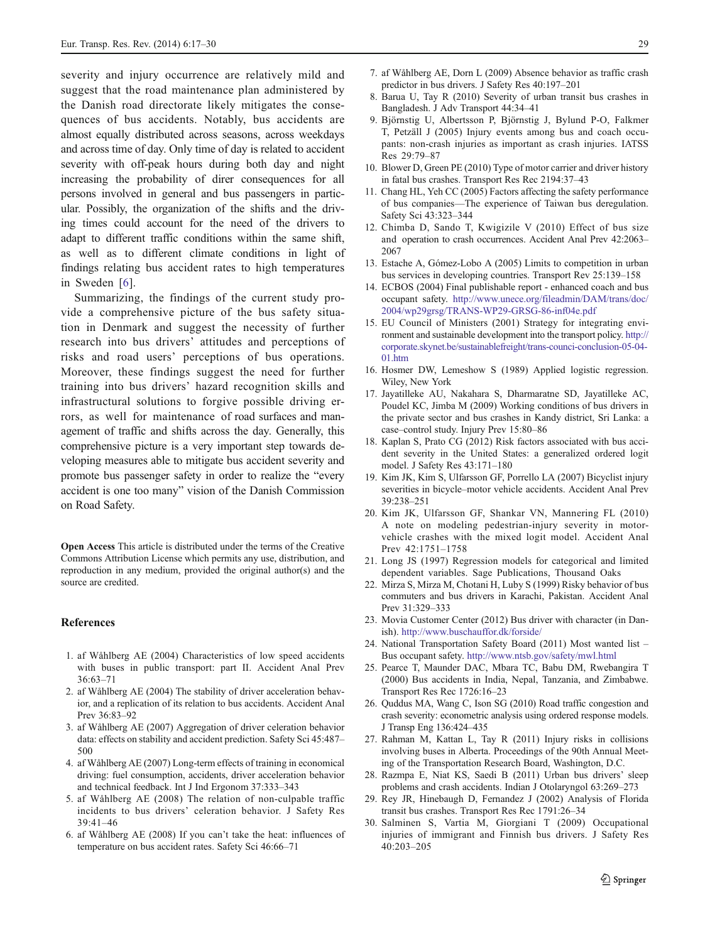<span id="page-12-0"></span>severity and injury occurrence are relatively mild and suggest that the road maintenance plan administered by the Danish road directorate likely mitigates the consequences of bus accidents. Notably, bus accidents are almost equally distributed across seasons, across weekdays and across time of day. Only time of day is related to accident severity with off-peak hours during both day and night increasing the probability of direr consequences for all persons involved in general and bus passengers in particular. Possibly, the organization of the shifts and the driving times could account for the need of the drivers to adapt to different traffic conditions within the same shift, as well as to different climate conditions in light of findings relating bus accident rates to high temperatures in Sweden [6].

Summarizing, the findings of the current study provide a comprehensive picture of the bus safety situation in Denmark and suggest the necessity of further research into bus drivers' attitudes and perceptions of risks and road users' perceptions of bus operations. Moreover, these findings suggest the need for further training into bus drivers' hazard recognition skills and infrastructural solutions to forgive possible driving errors, as well for maintenance of road surfaces and management of traffic and shifts across the day. Generally, this comprehensive picture is a very important step towards developing measures able to mitigate bus accident severity and promote bus passenger safety in order to realize the "every accident is one too many" vision of the Danish Commission on Road Safety.

Open Access This article is distributed under the terms of the Creative Commons Attribution License which permits any use, distribution, and reproduction in any medium, provided the original author(s) and the source are credited.

#### References

- 1. af Wåhlberg AE (2004) Characteristics of low speed accidents with buses in public transport: part II. Accident Anal Prev 36:63–71
- 2. af Wåhlberg AE (2004) The stability of driver acceleration behavior, and a replication of its relation to bus accidents. Accident Anal Prev 36:83–92
- 3. af Wåhlberg AE (2007) Aggregation of driver celeration behavior data: effects on stability and accident prediction. Safety Sci 45:487– 500
- 4. af Wåhlberg AE (2007) Long-term effects of training in economical driving: fuel consumption, accidents, driver acceleration behavior and technical feedback. Int J Ind Ergonom 37:333–343
- 5. af Wåhlberg AE (2008) The relation of non-culpable traffic incidents to bus drivers' celeration behavior. J Safety Res 39:41–46
- 6. af Wåhlberg AE (2008) If you can't take the heat: influences of temperature on bus accident rates. Safety Sci 46:66–71
- 7. af Wåhlberg AE, Dorn L (2009) Absence behavior as traffic crash predictor in bus drivers. J Safety Res 40:197–201
- 8. Barua U, Tay R (2010) Severity of urban transit bus crashes in Bangladesh. J Adv Transport 44:34–41
- 9. Björnstig U, Albertsson P, Björnstig J, Bylund P-O, Falkmer T, Petzäll J (2005) Injury events among bus and coach occupants: non-crash injuries as important as crash injuries. IATSS Res 29:79–87
- 10. Blower D, Green PE (2010) Type of motor carrier and driver history in fatal bus crashes. Transport Res Rec 2194:37–43
- 11. Chang HL, Yeh CC (2005) Factors affecting the safety performance of bus companies—The experience of Taiwan bus deregulation. Safety Sci 43:323–344
- 12. Chimba D, Sando T, Kwigizile V (2010) Effect of bus size and operation to crash occurrences. Accident Anal Prev 42:2063– 2067
- 13. Estache A, Gómez-Lobo A (2005) Limits to competition in urban bus services in developing countries. Transport Rev 25:139–158
- 14. ECBOS (2004) Final publishable report enhanced coach and bus occupant safety. [http://www.unece.org/fileadmin/DAM/trans/doc/](http://www.unece.org/fileadmin/DAM/trans/doc/2004/wp29grsg/TRANS-WP29-GRSG-86-inf04e.pdf) [2004/wp29grsg/TRANS-WP29-GRSG-86-inf04e.pdf](http://www.unece.org/fileadmin/DAM/trans/doc/2004/wp29grsg/TRANS-WP29-GRSG-86-inf04e.pdf)
- 15. EU Council of Ministers (2001) Strategy for integrating environment and sustainable development into the transport policy. [http://](http://corporate.skynet.be/sustainablefreight/trans-counci-conclusion-05-04-01.htm) [corporate.skynet.be/sustainablefreight/trans-counci-conclusion-05-04-](http://corporate.skynet.be/sustainablefreight/trans-counci-conclusion-05-04-01.htm) [01.htm](http://corporate.skynet.be/sustainablefreight/trans-counci-conclusion-05-04-01.htm)
- 16. Hosmer DW, Lemeshow S (1989) Applied logistic regression. Wiley, New York
- 17. Jayatilleke AU, Nakahara S, Dharmaratne SD, Jayatilleke AC, Poudel KC, Jimba M (2009) Working conditions of bus drivers in the private sector and bus crashes in Kandy district, Sri Lanka: a case–control study. Injury Prev 15:80–86
- 18. Kaplan S, Prato CG (2012) Risk factors associated with bus accident severity in the United States: a generalized ordered logit model. J Safety Res 43:171–180
- 19. Kim JK, Kim S, Ulfarsson GF, Porrello LA (2007) Bicyclist injury severities in bicycle–motor vehicle accidents. Accident Anal Prev 39:238–251
- 20. Kim JK, Ulfarsson GF, Shankar VN, Mannering FL (2010) A note on modeling pedestrian-injury severity in motorvehicle crashes with the mixed logit model. Accident Anal Prev 42:1751–1758
- 21. Long JS (1997) Regression models for categorical and limited dependent variables. Sage Publications, Thousand Oaks
- 22. Mirza S, Mirza M, Chotani H, Luby S (1999) Risky behavior of bus commuters and bus drivers in Karachi, Pakistan. Accident Anal Prev 31:329–333
- 23. Movia Customer Center (2012) Bus driver with character (in Danish). <http://www.buschauffor.dk/forside/>
- 24. National Transportation Safety Board (2011) Most wanted list Bus occupant safety. <http://www.ntsb.gov/safety/mwl.html>
- 25. Pearce T, Maunder DAC, Mbara TC, Babu DM, Rwebangira T (2000) Bus accidents in India, Nepal, Tanzania, and Zimbabwe. Transport Res Rec 1726:16–23
- 26. Quddus MA, Wang C, Ison SG (2010) Road traffic congestion and crash severity: econometric analysis using ordered response models. J Transp Eng 136:424–435
- 27. Rahman M, Kattan L, Tay R (2011) Injury risks in collisions involving buses in Alberta. Proceedings of the 90th Annual Meeting of the Transportation Research Board, Washington, D.C.
- 28. Razmpa E, Niat KS, Saedi B (2011) Urban bus drivers' sleep problems and crash accidents. Indian J Otolaryngol 63:269–273
- 29. Rey JR, Hinebaugh D, Fernandez J (2002) Analysis of Florida transit bus crashes. Transport Res Rec 1791:26–34
- 30. Salminen S, Vartia M, Giorgiani T (2009) Occupational injuries of immigrant and Finnish bus drivers. J Safety Res 40:203–205